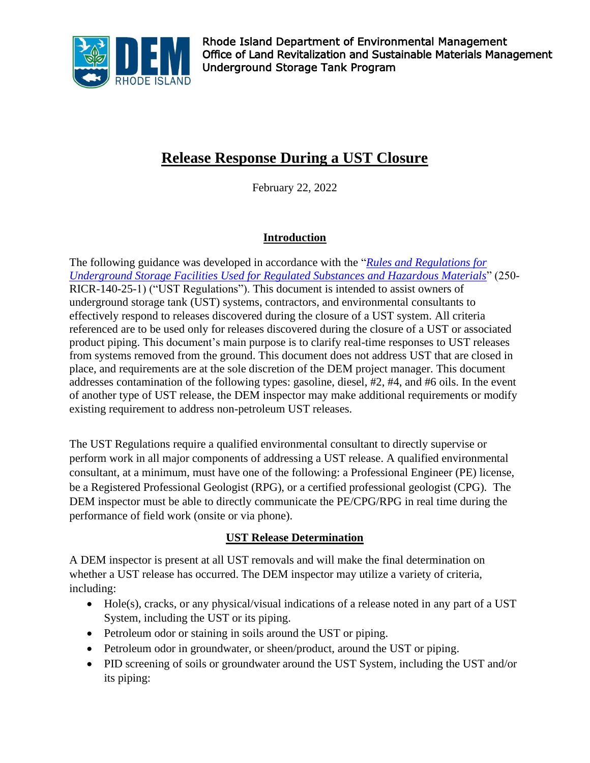

# **Release Response During a UST Closure**

February 22, 2022

## **Introduction**

The following guidance was developed in accordance with the "*[Rules and Regulations for](https://rules.sos.ri.gov/regulations/part/250-140-25-1)  [Underground Storage Facilities Used for Regulated Substances and Hazardous Materials](https://rules.sos.ri.gov/regulations/part/250-140-25-1)*" (250- RICR-140-25-1) ("UST Regulations"). This document is intended to assist owners of underground storage tank (UST) systems, contractors, and environmental consultants to effectively respond to releases discovered during the closure of a UST system. All criteria referenced are to be used only for releases discovered during the closure of a UST or associated product piping. This document's main purpose is to clarify real-time responses to UST releases from systems removed from the ground. This document does not address UST that are closed in place, and requirements are at the sole discretion of the DEM project manager. This document addresses contamination of the following types: gasoline, diesel, #2, #4, and #6 oils. In the event of another type of UST release, the DEM inspector may make additional requirements or modify existing requirement to address non-petroleum UST releases.

The UST Regulations require a qualified environmental consultant to directly supervise or perform work in all major components of addressing a UST release. A qualified environmental consultant, at a minimum, must have one of the following: a Professional Engineer (PE) license, be a Registered Professional Geologist (RPG), or a certified professional geologist (CPG). The DEM inspector must be able to directly communicate the PE/CPG/RPG in real time during the performance of field work (onsite or via phone).

### **UST Release Determination**

A DEM inspector is present at all UST removals and will make the final determination on whether a UST release has occurred. The DEM inspector may utilize a variety of criteria, including:

- Hole(s), cracks, or any physical/visual indications of a release noted in any part of a UST System, including the UST or its piping.
- Petroleum odor or staining in soils around the UST or piping.
- Petroleum odor in groundwater, or sheen/product, around the UST or piping.
- PID screening of soils or groundwater around the UST System, including the UST and/or its piping: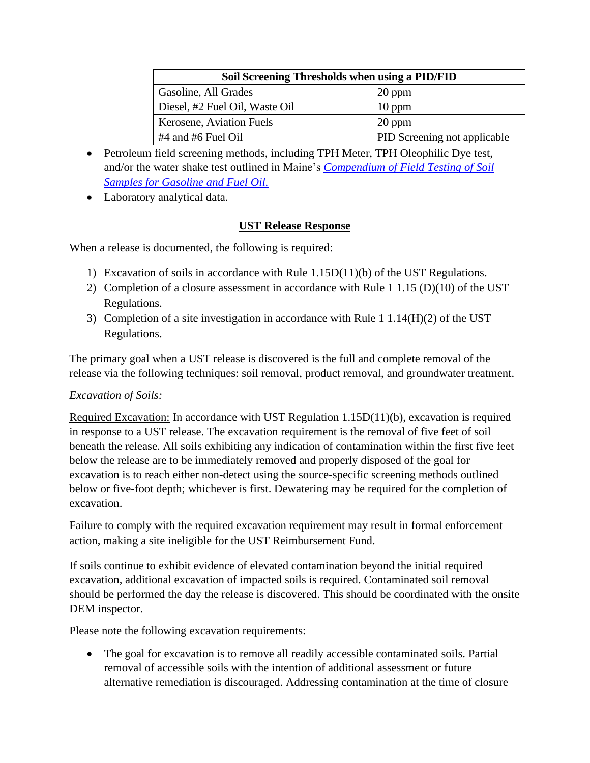| Soil Screening Thresholds when using a PID/FID |                              |
|------------------------------------------------|------------------------------|
| Gasoline, All Grades                           | $20$ ppm                     |
| Diesel, #2 Fuel Oil, Waste Oil                 | $10$ ppm                     |
| Kerosene, Aviation Fuels                       | $20$ ppm                     |
| $#4$ and $#6$ Fuel Oil                         | PID Screening not applicable |

- Petroleum field screening methods, including TPH Meter, TPH Oleophilic Dye test, and/or the water shake test outlined in Maine's *[Compendium of Field Testing of Soil](https://www.maine.gov/dep/spills/petroleum/documents/sop/ts004.pdf)  [Samples for Gasoline and Fuel Oil.](https://www.maine.gov/dep/spills/petroleum/documents/sop/ts004.pdf)*
- Laboratory analytical data.

#### **UST Release Response**

When a release is documented, the following is required:

- 1) Excavation of soils in accordance with Rule 1.15D(11)(b) of the UST Regulations.
- 2) Completion of a closure assessment in accordance with Rule 1 1.15 (D)(10) of the UST Regulations.
- 3) Completion of a site investigation in accordance with Rule 1 1.14(H)(2) of the UST Regulations.

The primary goal when a UST release is discovered is the full and complete removal of the release via the following techniques: soil removal, product removal, and groundwater treatment.

#### *Excavation of Soils:*

Required Excavation: In accordance with UST Regulation 1.15D(11)(b), excavation is required in response to a UST release. The excavation requirement is the removal of five feet of soil beneath the release. All soils exhibiting any indication of contamination within the first five feet below the release are to be immediately removed and properly disposed of the goal for excavation is to reach either non-detect using the source-specific screening methods outlined below or five-foot depth; whichever is first. Dewatering may be required for the completion of excavation.

Failure to comply with the required excavation requirement may result in formal enforcement action, making a site ineligible for the UST Reimbursement Fund.

If soils continue to exhibit evidence of elevated contamination beyond the initial required excavation, additional excavation of impacted soils is required. Contaminated soil removal should be performed the day the release is discovered. This should be coordinated with the onsite DEM inspector.

Please note the following excavation requirements:

• The goal for excavation is to remove all readily accessible contaminated soils. Partial removal of accessible soils with the intention of additional assessment or future alternative remediation is discouraged. Addressing contamination at the time of closure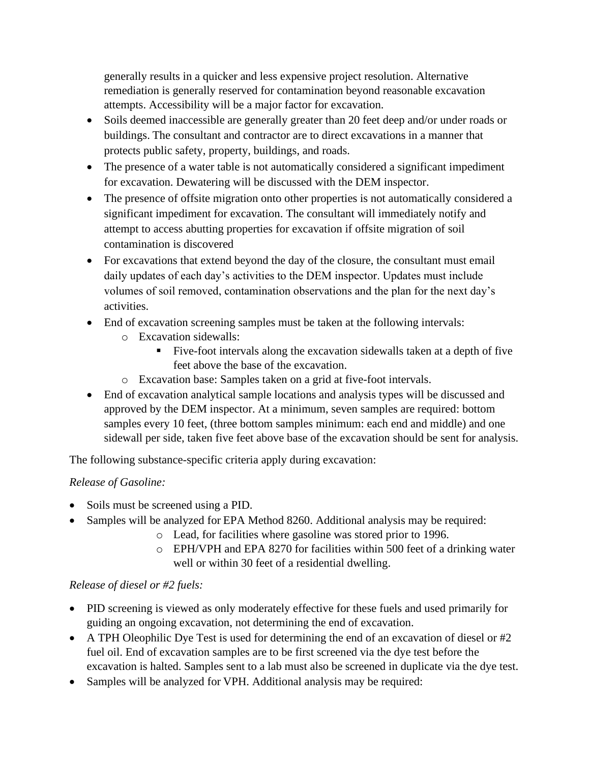generally results in a quicker and less expensive project resolution. Alternative remediation is generally reserved for contamination beyond reasonable excavation attempts. Accessibility will be a major factor for excavation.

- Soils deemed inaccessible are generally greater than 20 feet deep and/or under roads or buildings. The consultant and contractor are to direct excavations in a manner that protects public safety, property, buildings, and roads.
- The presence of a water table is not automatically considered a significant impediment for excavation. Dewatering will be discussed with the DEM inspector.
- The presence of offsite migration onto other properties is not automatically considered a significant impediment for excavation. The consultant will immediately notify and attempt to access abutting properties for excavation if offsite migration of soil contamination is discovered
- For excavations that extend beyond the day of the closure, the consultant must email daily updates of each day's activities to the DEM inspector. Updates must include volumes of soil removed, contamination observations and the plan for the next day's activities.
- End of excavation screening samples must be taken at the following intervals:
	- o Excavation sidewalls:
		- Five-foot intervals along the excavation sidewalls taken at a depth of five feet above the base of the excavation.
	- o Excavation base: Samples taken on a grid at five-foot intervals.
- End of excavation analytical sample locations and analysis types will be discussed and approved by the DEM inspector. At a minimum, seven samples are required: bottom samples every 10 feet, (three bottom samples minimum: each end and middle) and one sidewall per side, taken five feet above base of the excavation should be sent for analysis.

The following substance-specific criteria apply during excavation:

### *Release of Gasoline:*

- Soils must be screened using a PID.
- Samples will be analyzed for EPA Method 8260. Additional analysis may be required:
	- o Lead, for facilities where gasoline was stored prior to 1996.
	- o EPH/VPH and EPA 8270 for facilities within 500 feet of a drinking water well or within 30 feet of a residential dwelling.

### *Release of diesel or #2 fuels:*

- PID screening is viewed as only moderately effective for these fuels and used primarily for guiding an ongoing excavation, not determining the end of excavation.
- A TPH Oleophilic Dye Test is used for determining the end of an excavation of diesel or #2 fuel oil. End of excavation samples are to be first screened via the dye test before the excavation is halted. Samples sent to a lab must also be screened in duplicate via the dye test.
- Samples will be analyzed for VPH. Additional analysis may be required: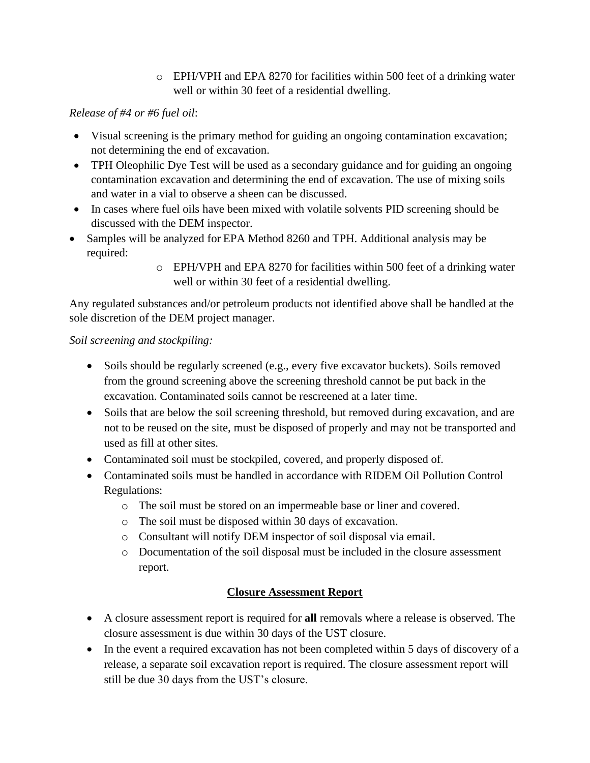o EPH/VPH and EPA 8270 for facilities within 500 feet of a drinking water well or within 30 feet of a residential dwelling.

### *Release of #4 or #6 fuel oil*:

- Visual screening is the primary method for guiding an ongoing contamination excavation; not determining the end of excavation.
- TPH Oleophilic Dye Test will be used as a secondary guidance and for guiding an ongoing contamination excavation and determining the end of excavation. The use of mixing soils and water in a vial to observe a sheen can be discussed.
- In cases where fuel oils have been mixed with volatile solvents PID screening should be discussed with the DEM inspector.
- Samples will be analyzed for EPA Method 8260 and TPH. Additional analysis may be required:
	- o EPH/VPH and EPA 8270 for facilities within 500 feet of a drinking water well or within 30 feet of a residential dwelling.

Any regulated substances and/or petroleum products not identified above shall be handled at the sole discretion of the DEM project manager.

### *Soil screening and stockpiling:*

- Soils should be regularly screened (e.g., every five excavator buckets). Soils removed from the ground screening above the screening threshold cannot be put back in the excavation. Contaminated soils cannot be rescreened at a later time.
- Soils that are below the soil screening threshold, but removed during excavation, and are not to be reused on the site, must be disposed of properly and may not be transported and used as fill at other sites.
- Contaminated soil must be stockpiled, covered, and properly disposed of.
- Contaminated soils must be handled in accordance with RIDEM Oil Pollution Control Regulations:
	- o The soil must be stored on an impermeable base or liner and covered.
	- o The soil must be disposed within 30 days of excavation.
	- o Consultant will notify DEM inspector of soil disposal via email.
	- o Documentation of the soil disposal must be included in the closure assessment report.

## **Closure Assessment Report**

- A closure assessment report is required for **all** removals where a release is observed. The closure assessment is due within 30 days of the UST closure.
- In the event a required excavation has not been completed within 5 days of discovery of a release, a separate soil excavation report is required. The closure assessment report will still be due 30 days from the UST's closure.